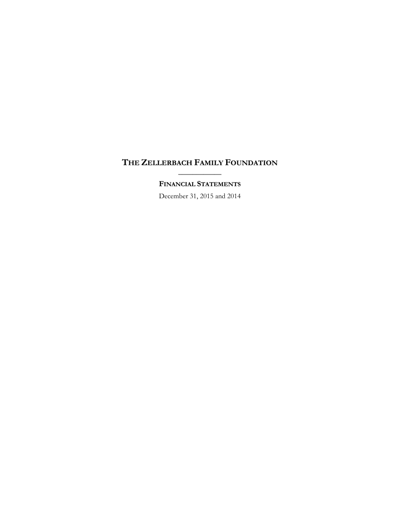# **THE ZELLERBACH FAMILY FOUNDATION** \_\_\_\_\_\_\_\_\_\_\_\_

# **FINANCIAL STATEMENTS**

December 31, 2015 and 2014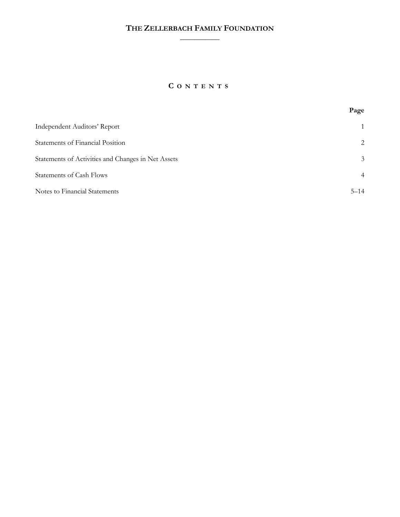# **THE ZELLERBACH FAMILY FOUNDATION**  $\frac{1}{2}$

**C ONTENTS**

|                                                    | Page           |
|----------------------------------------------------|----------------|
| Independent Auditors' Report                       | $\mathbf{1}$   |
| <b>Statements of Financial Position</b>            | 2              |
| Statements of Activities and Changes in Net Assets | 3              |
| <b>Statements of Cash Flows</b>                    | $\overline{4}$ |
| Notes to Financial Statements                      | $5 - 14$       |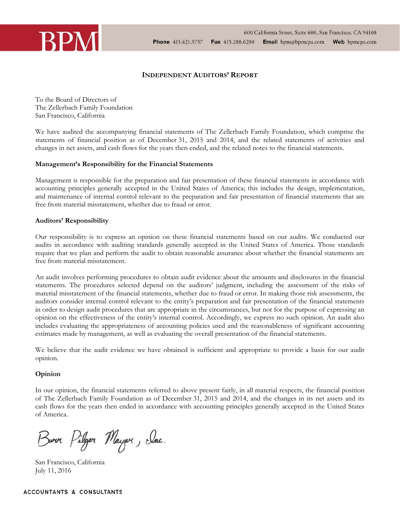

## **INDEPENDENT AUDITORS' REPORT**

To the Board of Directors of The Zellerbach Family Foundation San Francisco, California

We have audited the accompanying financial statements of The Zellerbach Family Foundation, which comprise the statements of financial position as of December 31, 2015 and 2014, and the related statements of activities and changes in net assets, and cash flows for the years then ended, and the related notes to the financial statements.

#### **Management's Responsibility for the Financial Statements**

Management is responsible for the preparation and fair presentation of these financial statements in accordance with accounting principles generally accepted in the United States of America; this includes the design, implementation, and maintenance of internal control relevant to the preparation and fair presentation of financial statements that are free from material misstatement, whether due to fraud or error.

#### **Auditors' Responsibility**

Our responsibility is to express an opinion on these financial statements based on our audits. We conducted our audits in accordance with auditing standards generally accepted in the United States of America. Those standards require that we plan and perform the audit to obtain reasonable assurance about whether the financial statements are free from material misstatement.

An audit involves performing procedures to obtain audit evidence about the amounts and disclosures in the financial statements. The procedures selected depend on the auditors' judgment, including the assessment of the risks of material misstatement of the financial statements, whether due to fraud or error. In making those risk assessments, the auditors consider internal control relevant to the entity's preparation and fair presentation of the financial statements in order to design audit procedures that are appropriate in the circumstances, but not for the purpose of expressing an opinion on the effectiveness of the entity's internal control. Accordingly, we express no such opinion. An audit also includes evaluating the appropriateness of accounting policies used and the reasonableness of significant accounting estimates made by management, as well as evaluating the overall presentation of the financial statements.

We believe that the audit evidence we have obtained is sufficient and appropriate to provide a basis for our audit opinion.

## **Opinion**

In our opinion, the financial statements referred to above present fairly, in all material respects, the financial position of The Zellerbach Family Foundation as of December 31, 2015 and 2014, and the changes in its net assets and its cash flows for the years then ended in accordance with accounting principles generally accepted in the United States of America.

Burer Pilger Mayer, Inc.

San Francisco, California July 11, 2016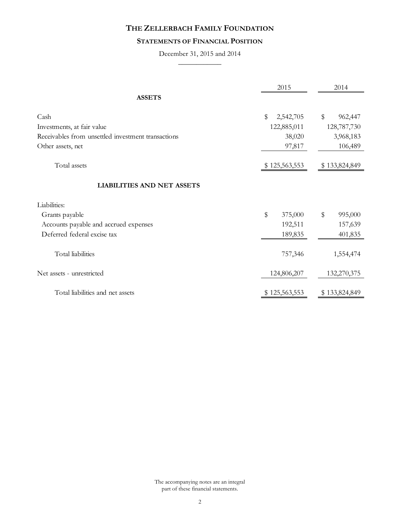# **STATEMENTS OF FINANCIAL POSITION**

December 31, 2015 and 2014  $\frac{1}{2}$ 

|                                                    | 2015            | 2014          |
|----------------------------------------------------|-----------------|---------------|
| <b>ASSETS</b>                                      |                 |               |
| Cash                                               | \$<br>2,542,705 | \$<br>962,447 |
| Investments, at fair value                         | 122,885,011     | 128,787,730   |
| Receivables from unsettled investment transactions | 38,020          | 3,968,183     |
| Other assets, net                                  | 97,817          | 106,489       |
| Total assets                                       | \$125,563,553   | \$133,824,849 |
| <b>LIABILITIES AND NET ASSETS</b>                  |                 |               |
| Liabilities:                                       |                 |               |
| Grants payable                                     | \$<br>375,000   | \$<br>995,000 |
| Accounts payable and accrued expenses              | 192,511         | 157,639       |
| Deferred federal excise tax                        | 189,835         | 401,835       |
| Total liabilities                                  | 757,346         | 1,554,474     |
| Net assets - unrestricted                          | 124,806,207     | 132,270,375   |
| Total liabilities and net assets                   | \$125,563,553   | \$133,824,849 |

The accompanying notes are an integral part of these financial statements.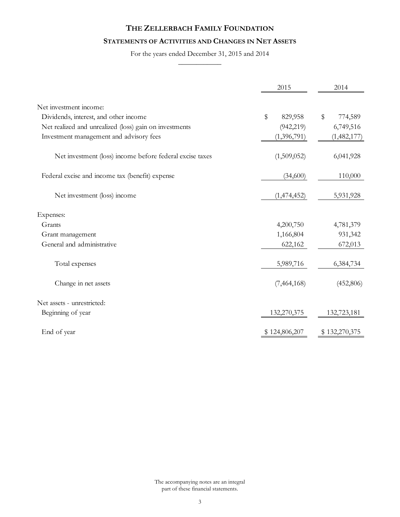# **STATEMENTS OF ACTIVITIES AND CHANGES IN NET ASSETS**

For the years ended December 31, 2015 and 2014  $\overline{\phantom{a}}$ 

| 2015                                                     |                   | 2014          |  |
|----------------------------------------------------------|-------------------|---------------|--|
| Net investment income:                                   |                   |               |  |
| Dividends, interest, and other income                    | $\$\,$<br>829,958 | 774,589<br>\$ |  |
| Net realized and unrealized (loss) gain on investments   | (942, 219)        | 6,749,516     |  |
| Investment management and advisory fees                  | (1,396,791)       | (1,482,177)   |  |
| Net investment (loss) income before federal excise taxes | (1,509,052)       | 6,041,928     |  |
| Federal excise and income tax (benefit) expense          | (34,600)          | 110,000       |  |
| Net investment (loss) income                             | (1,474,452)       | 5,931,928     |  |
| Expenses:                                                |                   |               |  |
| Grants                                                   | 4,200,750         | 4,781,379     |  |
| Grant management                                         | 1,166,804         | 931,342       |  |
| General and administrative                               | 622,162           | 672,013       |  |
| Total expenses                                           | 5,989,716         | 6,384,734     |  |
| Change in net assets                                     | (7, 464, 168)     | (452,806)     |  |
| Net assets - unrestricted:                               |                   |               |  |
| Beginning of year                                        | 132,270,375       | 132,723,181   |  |
| End of year                                              | \$124,806,207     | \$132,270,375 |  |

The accompanying notes are an integral part of these financial statements.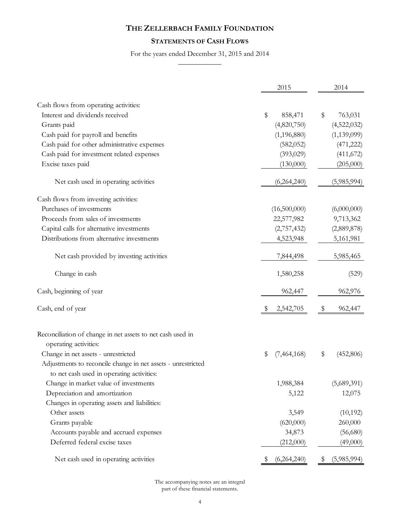# **STATEMENTS OF CASH FLOWS**

For the years ended December 31, 2015 and 2014  $\overline{\phantom{a}}$ 

|                                                                          | 2015              | 2014              |
|--------------------------------------------------------------------------|-------------------|-------------------|
|                                                                          |                   |                   |
| Cash flows from operating activities:<br>Interest and dividends received | \$<br>858,471     | \$<br>763,031     |
| Grants paid                                                              | (4,820,750)       | (4,522,032)       |
| Cash paid for payroll and benefits                                       | (1,196,880)       | (1, 139, 099)     |
| Cash paid for other administrative expenses                              | (582, 052)        | (471, 222)        |
| Cash paid for investment related expenses                                | (393, 029)        | (411, 672)        |
| Excise taxes paid                                                        | (130,000)         | (205,000)         |
|                                                                          |                   |                   |
| Net cash used in operating activities                                    | (6,264,240)       | (5,985,994)       |
| Cash flows from investing activities:                                    |                   |                   |
| Purchases of investments                                                 | (16,500,000)      | (6,000,000)       |
| Proceeds from sales of investments                                       | 22,577,982        | 9,713,362         |
| Capital calls for alternative investments                                | (2,757,432)       | (2,889,878)       |
| Distributions from alternative investments                               | 4,523,948         | 5,161,981         |
| Net cash provided by investing activities                                | 7,844,498         | 5,985,465         |
| Change in cash                                                           | 1,580,258         | (529)             |
| Cash, beginning of year                                                  | 962,447           | 962,976           |
| Cash, end of year                                                        | 2,542,705         | 962,447<br>\$     |
| Reconciliation of change in net assets to net cash used in               |                   |                   |
| operating activities:<br>Change in net assets - unrestricted             | (7,464,168)<br>\$ | \$<br>(452,806)   |
| Adjustments to reconcile change in net assets - unrestricted             |                   |                   |
| to net cash used in operating activities:                                |                   |                   |
| Change in market value of investments                                    | 1,988,384         | (5,689,391)       |
| Depreciation and amortization                                            | 5,122             | 12,075            |
| Changes in operating assets and liabilities:                             |                   |                   |
| Other assets                                                             | 3,549             | (10, 192)         |
| Grants payable                                                           | (620,000)         | 260,000           |
| Accounts payable and accrued expenses                                    | 34,873            | (56,680)          |
| Deferred federal excise taxes                                            | (212,000)         | (49,000)          |
| Net cash used in operating activities                                    | (6,264,240)<br>\$ | (5,985,994)<br>\$ |

The accompanying notes are an integral part of these financial statements.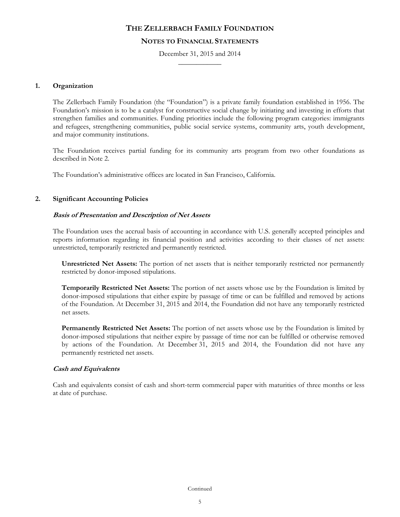#### **NOTES TO FINANCIAL STATEMENTS**

December 31, 2015 and 2014  $\frac{1}{2}$ 

#### **1. Organization**

The Zellerbach Family Foundation (the "Foundation") is a private family foundation established in 1956. The Foundation's mission is to be a catalyst for constructive social change by initiating and investing in efforts that strengthen families and communities. Funding priorities include the following program categories: immigrants and refugees, strengthening communities, public social service systems, community arts, youth development, and major community institutions.

The Foundation receives partial funding for its community arts program from two other foundations as described in Note 2.

The Foundation's administrative offices are located in San Francisco, California.

#### **2. Significant Accounting Policies**

#### **Basis of Presentation and Description of Net Assets**

The Foundation uses the accrual basis of accounting in accordance with U.S. generally accepted principles and reports information regarding its financial position and activities according to their classes of net assets: unrestricted, temporarily restricted and permanently restricted.

**Unrestricted Net Assets:** The portion of net assets that is neither temporarily restricted nor permanently restricted by donor-imposed stipulations.

**Temporarily Restricted Net Assets:** The portion of net assets whose use by the Foundation is limited by donor-imposed stipulations that either expire by passage of time or can be fulfilled and removed by actions of the Foundation. At December 31, 2015 and 2014, the Foundation did not have any temporarily restricted net assets.

**Permanently Restricted Net Assets:** The portion of net assets whose use by the Foundation is limited by donor-imposed stipulations that neither expire by passage of time nor can be fulfilled or otherwise removed by actions of the Foundation. At December 31, 2015 and 2014, the Foundation did not have any permanently restricted net assets.

#### **Cash and Equivalents**

Cash and equivalents consist of cash and short-term commercial paper with maturities of three months or less at date of purchase.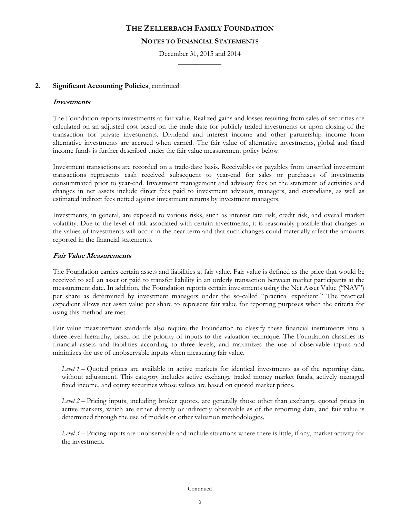### **NOTES TO FINANCIAL STATEMENTS**

December 31, 2015 and 2014  $\frac{1}{2}$ 

## **2. Significant Accounting Policies**, continued

#### **Investments**

The Foundation reports investments at fair value. Realized gains and losses resulting from sales of securities are calculated on an adjusted cost based on the trade date for publicly traded investments or upon closing of the transaction for private investments. Dividend and interest income and other partnership income from alternative investments are accrued when earned. The fair value of alternative investments, global and fixed income funds is further described under the fair value measurement policy below.

Investment transactions are recorded on a trade-date basis. Receivables or payables from unsettled investment transactions represents cash received subsequent to year-end for sales or purchases of investments consummated prior to year-end. Investment management and advisory fees on the statement of activities and changes in net assets include direct fees paid to investment advisors, managers, and custodians, as well as estimated indirect fees netted against investment returns by investment managers.

Investments, in general, are exposed to various risks, such as interest rate risk, credit risk, and overall market volatility. Due to the level of risk associated with certain investments, it is reasonably possible that changes in the values of investments will occur in the near term and that such changes could materially affect the amounts reported in the financial statements.

#### **Fair Value Measurements**

The Foundation carries certain assets and liabilities at fair value. Fair value is defined as the price that would be received to sell an asset or paid to transfer liability in an orderly transaction between market participants at the measurement date. In addition, the Foundation reports certain investments using the Net Asset Value ("NAV") per share as determined by investment managers under the so-called "practical expedient." The practical expedient allows net asset value per share to represent fair value for reporting purposes when the criteria for using this method are met.

Fair value measurement standards also require the Foundation to classify these financial instruments into a three-level hierarchy, based on the priority of inputs to the valuation technique. The Foundation classifies its financial assets and liabilities according to three levels, and maximizes the use of observable inputs and minimizes the use of unobservable inputs when measuring fair value.

*Level 1* – Quoted prices are available in active markets for identical investments as of the reporting date, without adjustment. This category includes active exchange traded money market funds, actively managed fixed income, and equity securities whose values are based on quoted market prices.

*Level 2* – Pricing inputs, including broker quotes, are generally those other than exchange quoted prices in active markets, which are either directly or indirectly observable as of the reporting date, and fair value is determined through the use of models or other valuation methodologies.

*Level 3* – Pricing inputs are unobservable and include situations where there is little, if any, market activity for the investment.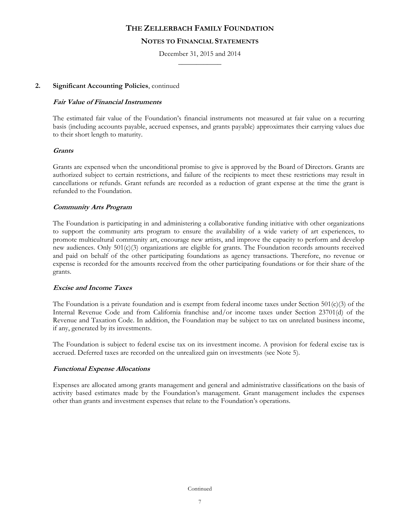### **NOTES TO FINANCIAL STATEMENTS**

December 31, 2015 and 2014  $\frac{1}{2}$ 

#### **2. Significant Accounting Policies**, continued

#### **Fair Value of Financial Instruments**

The estimated fair value of the Foundation's financial instruments not measured at fair value on a recurring basis (including accounts payable, accrued expenses, and grants payable) approximates their carrying values due to their short length to maturity.

#### **Grants**

Grants are expensed when the unconditional promise to give is approved by the Board of Directors. Grants are authorized subject to certain restrictions, and failure of the recipients to meet these restrictions may result in cancellations or refunds. Grant refunds are recorded as a reduction of grant expense at the time the grant is refunded to the Foundation.

#### **Community Arts Program**

The Foundation is participating in and administering a collaborative funding initiative with other organizations to support the community arts program to ensure the availability of a wide variety of art experiences, to promote multicultural community art, encourage new artists, and improve the capacity to perform and develop new audiences. Only 501(c)(3) organizations are eligible for grants. The Foundation records amounts received and paid on behalf of the other participating foundations as agency transactions. Therefore, no revenue or expense is recorded for the amounts received from the other participating foundations or for their share of the grants.

#### **Excise and Income Taxes**

The Foundation is a private foundation and is exempt from federal income taxes under Section  $501(c)(3)$  of the Internal Revenue Code and from California franchise and/or income taxes under Section 23701(d) of the Revenue and Taxation Code. In addition, the Foundation may be subject to tax on unrelated business income, if any, generated by its investments.

The Foundation is subject to federal excise tax on its investment income. A provision for federal excise tax is accrued. Deferred taxes are recorded on the unrealized gain on investments (see Note 5).

#### **Functional Expense Allocations**

Expenses are allocated among grants management and general and administrative classifications on the basis of activity based estimates made by the Foundation's management. Grant management includes the expenses other than grants and investment expenses that relate to the Foundation's operations.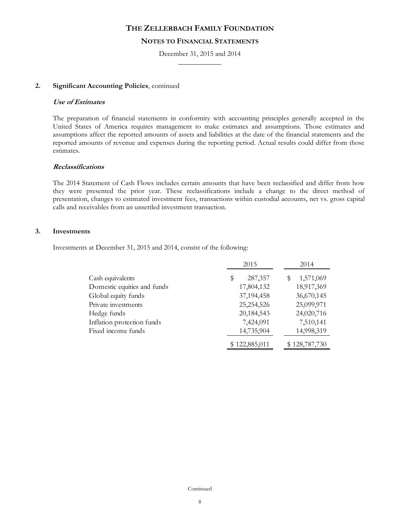## **NOTES TO FINANCIAL STATEMENTS**

December 31, 2015 and 2014  $\frac{1}{2}$ 

## **2. Significant Accounting Policies**, continued

#### **Use of Estimates**

The preparation of financial statements in conformity with accounting principles generally accepted in the United States of America requires management to make estimates and assumptions. Those estimates and assumptions affect the reported amounts of assets and liabilities at the date of the financial statements and the reported amounts of revenue and expenses during the reporting period. Actual results could differ from those estimates.

#### **Reclassifications**

The 2014 Statement of Cash Flows includes certain amounts that have been reclassified and differ from how they were presented the prior year. These reclassifications include a change to the direct method of presentation, changes to estimated investment fees, transactions within custodial accounts, net vs. gross capital calls and receivables from an unsettled investment transaction.

#### **3. Investments**

Investments at December 31, 2015 and 2014, consist of the following:

|                                                  | 2015                        | 2014                          |
|--------------------------------------------------|-----------------------------|-------------------------------|
| Cash equivalents<br>Domestic equities and funds  | 287,357<br>\$<br>17,804,132 | 1,571,069<br>\$<br>18,917,369 |
| Global equity funds                              | 37,194,458                  | 36,670,145                    |
| Private investments<br>Hedge funds               | 25,254,526<br>20,184,543    | 25,099,971<br>24,020,716      |
| Inflation protection funds<br>Fixed income funds | 7,424,091<br>14,735,904     | 7,510,141<br>14,998,319       |
|                                                  | \$122,885,011               | \$128,787,730                 |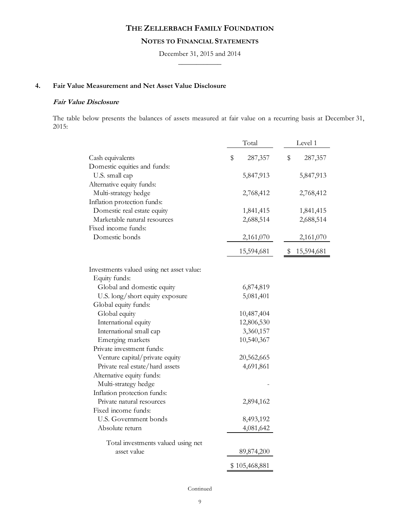## **NOTES TO FINANCIAL STATEMENTS**

December 31, 2015 and 2014  $\frac{1}{2}$ 

## **4. Fair Value Measurement and Net Asset Value Disclosure**

#### **Fair Value Disclosure**

The table below presents the balances of assets measured at fair value on a recurring basis at December 31, 2015:

|                                           | Total         | Level 1          |
|-------------------------------------------|---------------|------------------|
| Cash equivalents                          | \$<br>287,357 | \$<br>287,357    |
| Domestic equities and funds:              |               |                  |
| U.S. small cap                            | 5,847,913     | 5,847,913        |
| Alternative equity funds:                 |               |                  |
| Multi-strategy hedge                      | 2,768,412     | 2,768,412        |
| Inflation protection funds:               |               |                  |
| Domestic real estate equity               | 1,841,415     | 1,841,415        |
| Marketable natural resources              | 2,688,514     | 2,688,514        |
| Fixed income funds:                       |               |                  |
| Domestic bonds                            | 2,161,070     | 2,161,070        |
|                                           | 15,594,681    | \$<br>15,594,681 |
| Investments valued using net asset value: |               |                  |
| Equity funds:                             |               |                  |
| Global and domestic equity                | 6,874,819     |                  |
| U.S. long/short equity exposure           | 5,081,401     |                  |
| Global equity funds:                      |               |                  |
| Global equity                             | 10,487,404    |                  |
| International equity                      | 12,806,530    |                  |
| International small cap                   | 3,360,157     |                  |
| Emerging markets                          | 10,540,367    |                  |
| Private investment funds:                 |               |                  |
| Venture capital/private equity            | 20,562,665    |                  |
| Private real estate/hard assets           | 4,691,861     |                  |
| Alternative equity funds:                 |               |                  |
| Multi-strategy hedge                      |               |                  |
| Inflation protection funds:               |               |                  |
| Private natural resources                 | 2,894,162     |                  |
| Fixed income funds:                       |               |                  |
| U.S. Government bonds                     | 8,493,192     |                  |
| Absolute return                           | 4,081,642     |                  |
| Total investments valued using net        |               |                  |
| asset value                               | 89,874,200    |                  |
|                                           | \$105,468,881 |                  |

Continued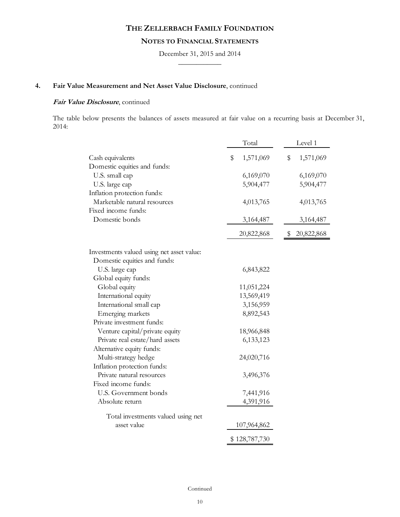## **NOTES TO FINANCIAL STATEMENTS**

December 31, 2015 and 2014  $\frac{1}{2}$ 

## **4. Fair Value Measurement and Net Asset Value Disclosure**, continued

#### **Fair Value Disclosure**, continued

The table below presents the balances of assets measured at fair value on a recurring basis at December 31, 2014:

|                                           | Total           | Level 1         |
|-------------------------------------------|-----------------|-----------------|
| Cash equivalents                          | 1,571,069<br>\$ | \$<br>1,571,069 |
| Domestic equities and funds:              |                 |                 |
| U.S. small cap                            | 6,169,070       | 6,169,070       |
| U.S. large cap                            | 5,904,477       | 5,904,477       |
| Inflation protection funds:               |                 |                 |
| Marketable natural resources              | 4,013,765       | 4,013,765       |
| Fixed income funds:                       |                 |                 |
| Domestic bonds                            | 3,164,487       | 3,164,487       |
|                                           | 20,822,868      | \$20,822,868    |
| Investments valued using net asset value: |                 |                 |
| Domestic equities and funds:              |                 |                 |
| U.S. large cap                            | 6,843,822       |                 |
| Global equity funds:                      |                 |                 |
| Global equity                             | 11,051,224      |                 |
| International equity                      | 13,569,419      |                 |
| International small cap                   | 3,156,959       |                 |
| Emerging markets                          | 8,892,543       |                 |
| Private investment funds:                 |                 |                 |
| Venture capital/private equity            | 18,966,848      |                 |
| Private real estate/hard assets           | 6,133,123       |                 |
| Alternative equity funds:                 |                 |                 |
| Multi-strategy hedge                      | 24,020,716      |                 |
| Inflation protection funds:               |                 |                 |
| Private natural resources                 | 3,496,376       |                 |
| Fixed income funds:                       |                 |                 |
| U.S. Government bonds                     | 7,441,916       |                 |
| Absolute return                           | 4,391,916       |                 |
| Total investments valued using net        |                 |                 |
| asset value                               | 107,964,862     |                 |
|                                           | \$128,787,730   |                 |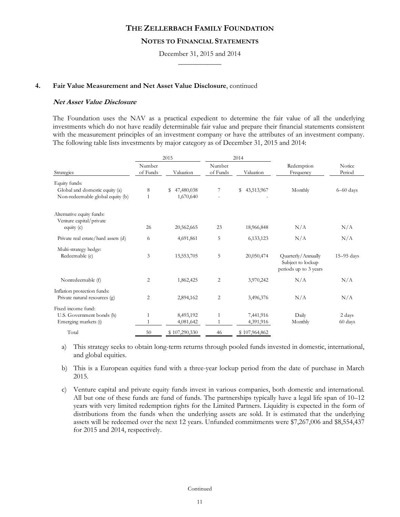#### **NOTES TO FINANCIAL STATEMENTS**

December 31, 2015 and 2014  $\frac{1}{2}$ 

#### **4. Fair Value Measurement and Net Asset Value Disclosure**, continued

#### **Net Asset Value Disclosure**

The Foundation uses the NAV as a practical expedient to determine the fair value of all the underlying investments which do not have readily determinable fair value and prepare their financial statements consistent with the measurement principles of an investment company or have the attributes of an investment company. The following table lists investments by major category as of December 31, 2015 and 2014:

|                                                              | 2015               |                  | 2014               |                  |                                                                  |                  |  |
|--------------------------------------------------------------|--------------------|------------------|--------------------|------------------|------------------------------------------------------------------|------------------|--|
| Strategies                                                   | Number<br>of Funds | Valuation        | Number<br>of Funds | Valuation        | Redemption<br>Frequency                                          | Notice<br>Period |  |
| Equity funds:                                                |                    |                  |                    |                  |                                                                  |                  |  |
| Global and domestic equity (a)                               | 8                  | 47,480,038<br>\$ | 7                  | 43,513,967<br>\$ | Monthly                                                          | $6 - 60$ days    |  |
| Non-redeemable global equity (b)                             |                    | 1,670,640        |                    |                  |                                                                  |                  |  |
| Alternative equity funds:<br>Venture capital/private         |                    |                  |                    |                  |                                                                  |                  |  |
| equity $(c)$                                                 | 26                 | 20,562,665       | 23                 | 18,966,848       | N/A                                                              | N/A              |  |
| Private real estate/hard assets (d)                          | 6                  | 4,691,861        | 5                  | 6,133,123        | N/A                                                              | N/A              |  |
| Multi-strategy hedge:<br>Redeemable (e)                      | 3                  | 15,553,705       | 5                  | 20,050,474       | Quarterly/Annually<br>Subject to lockup<br>periods up to 3 years | 15-95 days       |  |
| Nonredeemable (f)                                            | 2                  | 1,862,425        | $\overline{2}$     | 3,970,242        | N/A                                                              | N/A              |  |
| Inflation protection funds:<br>Private natural resources (g) | 2                  | 2,894,162        | 2                  | 3,496,376        | N/A                                                              | N/A              |  |
| Fixed income fund:                                           |                    |                  |                    |                  |                                                                  |                  |  |
| U.S. Government bonds (h)                                    | $\mathbf{1}$       | 8,493,192        | 1                  | 7,441,916        | Daily                                                            | 2 days           |  |
| Emerging markets (i)                                         |                    | 4,081,642        |                    | 4,391,916        | Monthly                                                          | 60 days          |  |
| Total                                                        | 50                 | \$107,290,330    | 46                 | \$107,964,862    |                                                                  |                  |  |

a) This strategy seeks to obtain long-term returns through pooled funds invested in domestic, international, and global equities.

- b) This is a European equities fund with a three-year lockup period from the date of purchase in March 2015.
- c) Venture capital and private equity funds invest in various companies, both domestic and international. All but one of these funds are fund of funds. The partnerships typically have a legal life span of 10–12 years with very limited redemption rights for the Limited Partners. Liquidity is expected in the form of distributions from the funds when the underlying assets are sold. It is estimated that the underlying assets will be redeemed over the next 12 years. Unfunded commitments were \$7,267,006 and \$8,554,437 for 2015 and 2014, respectively.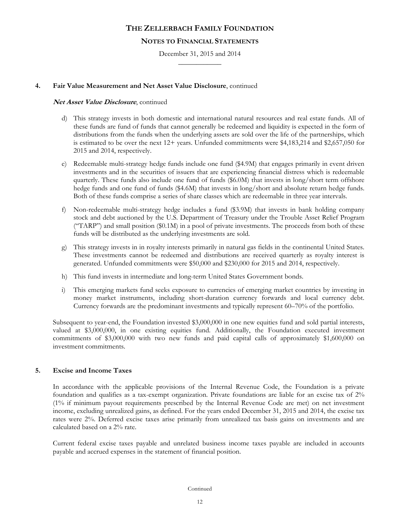### **NOTES TO FINANCIAL STATEMENTS**

December 31, 2015 and 2014  $\frac{1}{2}$ 

### **4. Fair Value Measurement and Net Asset Value Disclosure**, continued

#### **Net Asset Value Disclosure**, continued

- d) This strategy invests in both domestic and international natural resources and real estate funds. All of these funds are fund of funds that cannot generally be redeemed and liquidity is expected in the form of distributions from the funds when the underlying assets are sold over the life of the partnerships, which is estimated to be over the next 12+ years. Unfunded commitments were \$4,183,214 and \$2,657,050 for 2015 and 2014, respectively.
- e) Redeemable multi-strategy hedge funds include one fund (\$4.9M) that engages primarily in event driven investments and in the securities of issuers that are experiencing financial distress which is redeemable quarterly. These funds also include one fund of funds (\$6.0M) that invests in long/short term offshore hedge funds and one fund of funds (\$4.6M) that invests in long/short and absolute return hedge funds. Both of these funds comprise a series of share classes which are redeemable in three year intervals.
- f) Non-redeemable multi-strategy hedge includes a fund (\$3.9M) that invests in bank holding company stock and debt auctioned by the U.S. Department of Treasury under the Trouble Asset Relief Program ("TARP") and small position  $(\$0.1M)$  in a pool of private investments. The proceeds from both of these funds will be distributed as the underlying investments are sold.
- g) This strategy invests in in royalty interests primarily in natural gas fields in the continental United States. These investments cannot be redeemed and distributions are received quarterly as royalty interest is generated. Unfunded commitments were \$50,000 and \$230,000 for 2015 and 2014, respectively.
- h) This fund invests in intermediate and long-term United States Government bonds.
- i) This emerging markets fund seeks exposure to currencies of emerging market countries by investing in money market instruments, including short-duration currency forwards and local currency debt. Currency forwards are the predominant investments and typically represent 60–70% of the portfolio.

Subsequent to year-end, the Foundation invested \$3,000,000 in one new equities fund and sold partial interests, valued at \$3,000,000, in one existing equities fund. Additionally, the Foundation executed investment commitments of \$3,000,000 with two new funds and paid capital calls of approximately \$1,600,000 on investment commitments.

#### **5. Excise and Income Taxes**

In accordance with the applicable provisions of the Internal Revenue Code, the Foundation is a private foundation and qualifies as a tax-exempt organization. Private foundations are liable for an excise tax of 2% (1% if minimum payout requirements prescribed by the Internal Revenue Code are met) on net investment income, excluding unrealized gains, as defined. For the years ended December 31, 2015 and 2014, the excise tax rates were 2%. Deferred excise taxes arise primarily from unrealized tax basis gains on investments and are calculated based on a 2% rate.

Current federal excise taxes payable and unrelated business income taxes payable are included in accounts payable and accrued expenses in the statement of financial position.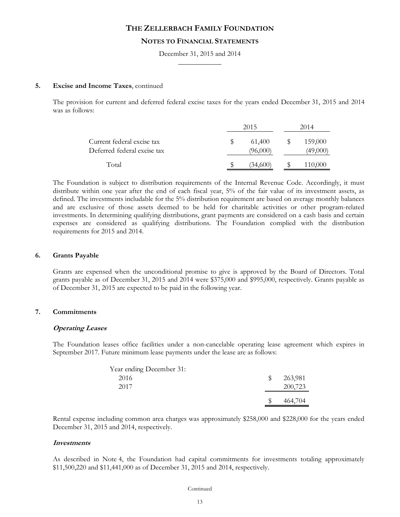#### **NOTES TO FINANCIAL STATEMENTS**

December 31, 2015 and 2014  $\frac{1}{2}$ 

#### **5. Excise and Income Taxes**, continued

The provision for current and deferred federal excise taxes for the years ended December 31, 2015 and 2014 was as follows:

|                                                           | 2015 |                    | 2014                |  |
|-----------------------------------------------------------|------|--------------------|---------------------|--|
| Current federal excise tax<br>Deferred federal excise tax |      | 61,400<br>(96,000) | 159,000<br>(49,000) |  |
| Total                                                     |      | (34,600)           | 110,000             |  |

The Foundation is subject to distribution requirements of the Internal Revenue Code. Accordingly, it must distribute within one year after the end of each fiscal year, 5% of the fair value of its investment assets, as defined. The investments includable for the 5% distribution requirement are based on average monthly balances and are exclusive of those assets deemed to be held for charitable activities or other program-related investments. In determining qualifying distributions, grant payments are considered on a cash basis and certain expenses are considered as qualifying distributions. The Foundation complied with the distribution requirements for 2015 and 2014.

#### **6. Grants Payable**

Grants are expensed when the unconditional promise to give is approved by the Board of Directors. Total grants payable as of December 31, 2015 and 2014 were \$375,000 and \$995,000, respectively. Grants payable as of December 31, 2015 are expected to be paid in the following year.

#### **7. Commitments**

#### **Operating Leases**

The Foundation leases office facilities under a non-cancelable operating lease agreement which expires in September 2017. Future minimum lease payments under the lease are as follows:

| Year ending December 31: |              |         |
|--------------------------|--------------|---------|
| 2016                     | $\mathbf{S}$ | 263,981 |
| 2017                     |              | 200,723 |
|                          |              | 464,704 |
|                          |              |         |

Rental expense including common area charges was approximately \$258,000 and \$228,000 for the years ended December 31, 2015 and 2014, respectively.

#### **Investments**

As described in Note 4, the Foundation had capital commitments for investments totaling approximately \$11,500,220 and \$11,441,000 as of December 31, 2015 and 2014, respectively.